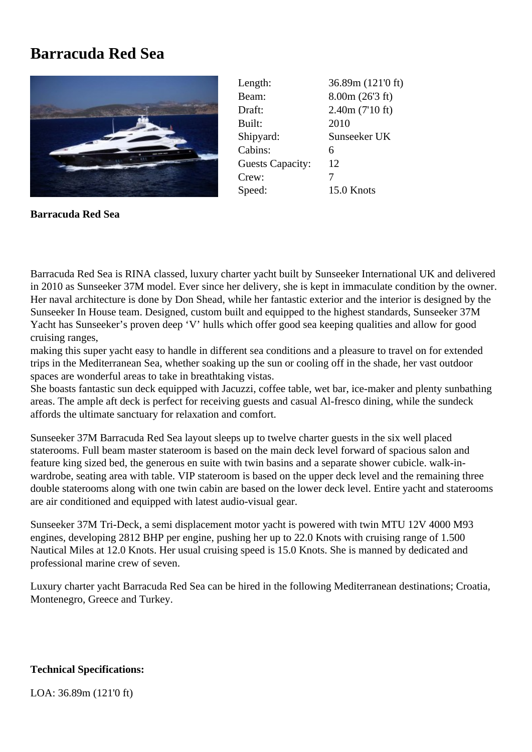## **Barracuda Red Sea**



Length: 36.89m (121'0 ft) Beam: 8.00m (26'3 ft) Draft: 2.40m (7'10 ft) Built: 2010 Shipyard: Sunseeker UK Cabins: 6 Guests Capacity: 12 Crew: 7 Speed: 15.0 Knots

**Barracuda Red Sea**

Barracuda Red Sea is RINA classed, luxury charter yacht built by Sunseeker International UK and delivered in 2010 as Sunseeker 37M model. Ever since her delivery, she is kept in immaculate condition by the owner. Her naval architecture is done by Don Shead, while her fantastic exterior and the interior is designed by the Sunseeker In House team. Designed, custom built and equipped to the highest standards, Sunseeker 37M Yacht has Sunseeker's proven deep 'V' hulls which offer good sea keeping qualities and allow for good cruising ranges,

making this super yacht easy to handle in different sea conditions and a pleasure to travel on for extended trips in the Mediterranean Sea, whether soaking up the sun or cooling off in the shade, her vast outdoor spaces are wonderful areas to take in breathtaking vistas.

She boasts fantastic sun deck equipped with Jacuzzi, coffee table, wet bar, ice-maker and plenty sunbathing areas. The ample aft deck is perfect for receiving guests and casual Al-fresco dining, while the sundeck affords the ultimate sanctuary for relaxation and comfort.

Sunseeker 37M Barracuda Red Sea layout sleeps up to twelve charter guests in the six well placed staterooms. Full beam master stateroom is based on the main deck level forward of spacious salon and feature king sized bed, the generous en suite with twin basins and a separate shower cubicle. walk-inwardrobe, seating area with table. VIP stateroom is based on the upper deck level and the remaining three double staterooms along with one twin cabin are based on the lower deck level. Entire yacht and staterooms are air conditioned and equipped with latest audio-visual gear.

Sunseeker 37M Tri-Deck, a semi displacement motor yacht is powered with twin MTU 12V 4000 M93 engines, developing 2812 BHP per engine, pushing her up to 22.0 Knots with cruising range of 1.500 Nautical Miles at 12.0 Knots. Her usual cruising speed is 15.0 Knots. She is manned by dedicated and professional marine crew of seven.

Luxury charter yacht Barracuda Red Sea can be hired in the following Mediterranean destinations; Croatia, Montenegro, Greece and Turkey.

## **Technical Specifications:**

LOA: 36.89m (121'0 ft)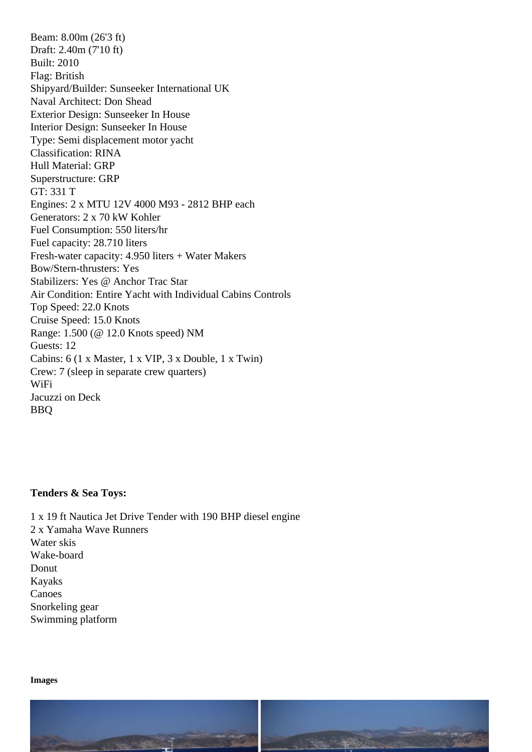Draft: 2.40m (7'10 ft) Built: 2010 Flag: British Shipyard/Builder: Sunseeker International UK Naval Architect: Don Shead Exterior Design: Sunseeker In House Interior Design: Sunseeker In House Type: Semi displacement motor yacht Classification: RINA Hull Material: GRP Superstructure: GRP GT: 331 T Engines: 2 x MTU 12V 4000 M93 - 2812 BHP each Generators: 2 x 70 kW Kohler Fuel Consumption: 550 liters/hr Fuel capacity: 28.710 liters Fresh-water capacity: 4.950 liters + Water Makers Bow/Stern-thrusters: Yes Stabilizers: Yes @ Anchor Trac Star Air Condition: Entire Yacht with Individual Cabins Controls Top Speed: 22.0 Knots Cruise Speed: 15.0 Knots Range: 1.500 (@ 12.0 Knots speed) NM Guests: 12 Cabins: 6 (1 x Master, 1 x VIP, 3 x Double, 1 x Twin) Crew: 7 (sleep in separate crew quarters) WiFi Jacuzzi on Deck BBQ

Tenders & Sea Toys:

1 x 19 ft Nautica Jet Drive Tender with 190 BHP diesel engine 2 x Yamaha Wave Runners Water skis Wake-board **Donut** Kayaks Canoes Snorkeling gear Swimming platform

Images